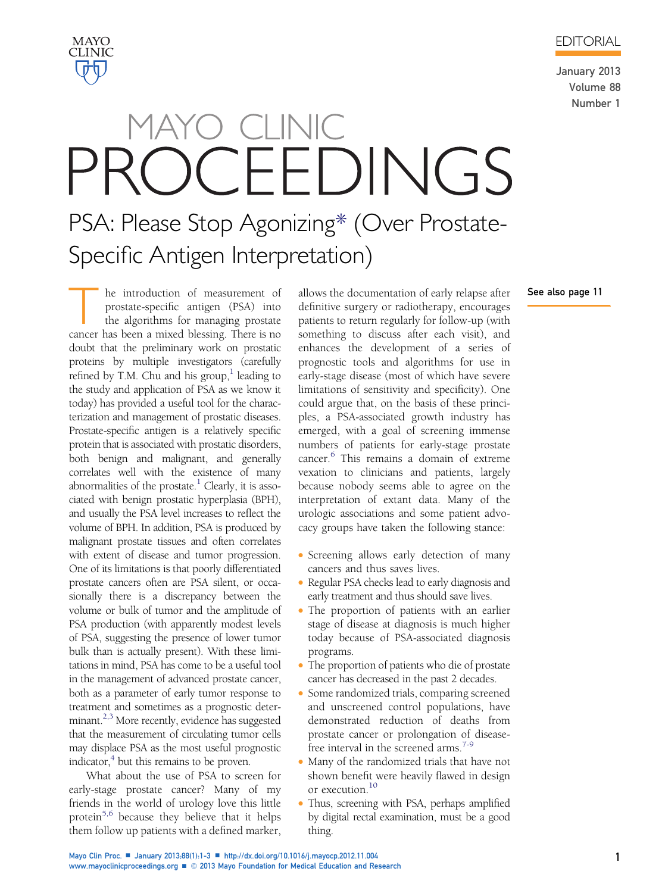

January 2013 Volume 88 Number 1

## MAYO CLINIC OCEEDINGS PSA: Please Stop Agonizing[\\*](#page-2-0) (Over Prostate-

Specific Antigen Interpretation)

MAYO **CLINIC** 

The introduction of measurement of prostate-specific antigen (PSA) into the algorithms for managing prostate cancer has been a mixed blessing. There is no prostate-specific antigen (PSA) into the algorithms for managing prostate doubt that the preliminary work on prostatic proteins by multiple investigators (carefully refined by T.M. Chu and his group, $<sup>1</sup>$  $<sup>1</sup>$  $<sup>1</sup>$  leading to</sup> the study and application of PSA as we know it today) has provided a useful tool for the characterization and management of prostatic diseases. Prostate-specific antigen is a relatively specific protein that is associated with prostatic disorders, both benign and malignant, and generally correlates well with the existence of many abnormalities of the prostate. $<sup>1</sup>$  Clearly, it is asso-</sup> ciated with benign prostatic hyperplasia (BPH), and usually the PSA level increases to reflect the volume of BPH. In addition, PSA is produced by malignant prostate tissues and often correlates with extent of disease and tumor progression. One of its limitations is that poorly differentiated prostate cancers often are PSA silent, or occasionally there is a discrepancy between the volume or bulk of tumor and the amplitude of PSA production (with apparently modest levels of PSA, suggesting the presence of lower tumor bulk than is actually present). With these limitations in mind, PSA has come to be a useful tool in the management of advanced prostate cancer, both as a parameter of early tumor response to treatment and sometimes as a prognostic determinant.<sup>2,3</sup> More recently, evidence has suggested that the measurement of circulating tumor cells may displace PSA as the most useful prognostic indicator, $4$  but this remains to be proven.

What about the use of PSA to screen for early-stage prostate cancer? Many of my friends in the world of urology love this little protein<sup>[5,6](#page-2-0)</sup> because they believe that it helps them follow up patients with a defined marker,

allows the documentation of early relapse after definitive surgery or radiotherapy, encourages patients to return regularly for follow-up (with something to discuss after each visit), and enhances the development of a series of prognostic tools and algorithms for use in early-stage disease (most of which have severe limitations of sensitivity and specificity). One could argue that, on the basis of these principles, a PSA-associated growth industry has emerged, with a goal of screening immense numbers of patients for early-stage prostate cancer.[6](#page-2-0) This remains a domain of extreme vexation to clinicians and patients, largely because nobody seems able to agree on the interpretation of extant data. Many of the urologic associations and some patient advocacy groups have taken the following stance:

- Screening allows early detection of many cancers and thus saves lives.
- Regular PSA checks lead to early diagnosis and early treatment and thus should save lives.
- The proportion of patients with an earlier stage of disease at diagnosis is much higher today because of PSA-associated diagnosis programs.
- The proportion of patients who die of prostate cancer has decreased in the past 2 decades.
- Some randomized trials, comparing screened and unscreened control populations, have demonstrated reduction of deaths from prostate cancer or prolongation of disease-free interval in the screened arms.<sup>[7-9](#page-2-0)</sup>
- Many of the randomized trials that have not shown benefit were heavily flawed in design or execution.<sup>[10](#page-2-0)</sup>
- Thus, screening with PSA, perhaps amplified by digital rectal examination, must be a good thing.

1

See also page 11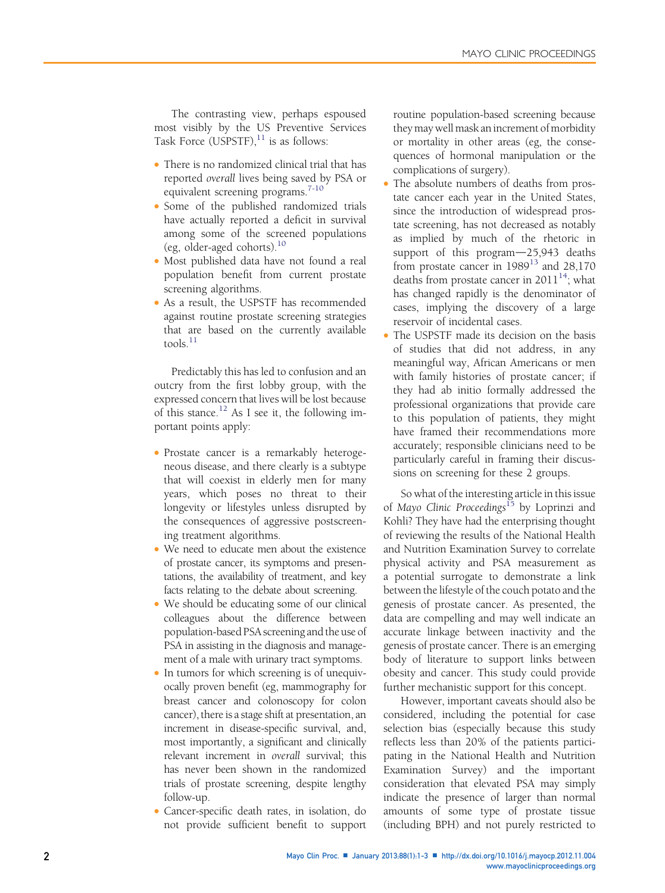The contrasting view, perhaps espoused most visibly by the US Preventive Services Task Force (USPSTF), $^{11}$  $^{11}$  $^{11}$  is as follows:

- There is no randomized clinical trial that has reported overall lives being saved by PSA or equivalent screening programs.<sup>[7-10](#page-2-0)</sup>
- Some of the published randomized trials have actually reported a deficit in survival among some of the screened populations (eg, older-aged cohorts). $10$
- Most published data have not found a real population benefit from current prostate screening algorithms.
- As a result, the USPSTF has recommended against routine prostate screening strategies that are based on the currently available  $tools.$ <sup>[11](#page-2-0)</sup>

Predictably this has led to confusion and an outcry from the first lobby group, with the expressed concern that lives will be lost because of this stance.<sup>[12](#page-2-0)</sup> As I see it, the following important points apply:

- Prostate cancer is a remarkably heterogeneous disease, and there clearly is a subtype that will coexist in elderly men for many years, which poses no threat to their longevity or lifestyles unless disrupted by the consequences of aggressive postscreening treatment algorithms.
- We need to educate men about the existence of prostate cancer, its symptoms and presentations, the availability of treatment, and key facts relating to the debate about screening.
- We should be educating some of our clinical colleagues about the difference between population-based PSA screening and the use of PSA in assisting in the diagnosis and management of a male with urinary tract symptoms.
- In tumors for which screening is of unequivocally proven benefit (eg, mammography for breast cancer and colonoscopy for colon cancer), there is a stage shift at presentation, an increment in disease-specific survival, and, most importantly, a significant and clinically relevant increment in overall survival; this has never been shown in the randomized trials of prostate screening, despite lengthy follow-up.
- Cancer-specific death rates, in isolation, do not provide sufficient benefit to support

routine population-based screening because they may well mask an increment of morbidity or mortality in other areas (eg, the consequences of hormonal manipulation or the complications of surgery).

- The absolute numbers of deaths from prostate cancer each year in the United States, since the introduction of widespread prostate screening, has not decreased as notably as implied by much of the rhetoric in support of this program $-25,943$  deaths from prostate cancer in  $1989^{13}$  $1989^{13}$  $1989^{13}$  and  $28,170$ deaths from prostate cancer in  $2011^{14}$ ; what has changed rapidly is the denominator of cases, implying the discovery of a large reservoir of incidental cases.
- The USPSTF made its decision on the basis of studies that did not address, in any meaningful way, African Americans or men with family histories of prostate cancer; if they had ab initio formally addressed the professional organizations that provide care to this population of patients, they might have framed their recommendations more accurately; responsible clinicians need to be particularly careful in framing their discussions on screening for these 2 groups.

So what of the interesting article in this issue of Mayo Clinic Proceedings<sup>[15](#page-2-0)</sup> by Loprinzi and Kohli? They have had the enterprising thought of reviewing the results of the National Health and Nutrition Examination Survey to correlate physical activity and PSA measurement as a potential surrogate to demonstrate a link between the lifestyle of the couch potato and the genesis of prostate cancer. As presented, the data are compelling and may well indicate an accurate linkage between inactivity and the genesis of prostate cancer. There is an emerging body of literature to support links between obesity and cancer. This study could provide further mechanistic support for this concept.

However, important caveats should also be considered, including the potential for case selection bias (especially because this study reflects less than 20% of the patients participating in the National Health and Nutrition Examination Survey) and the important consideration that elevated PSA may simply indicate the presence of larger than normal amounts of some type of prostate tissue (including BPH) and not purely restricted to